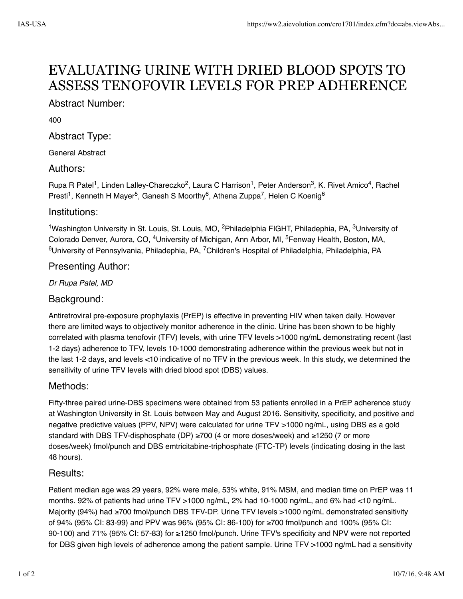# EVALUATING URINE WITH DRIED BLOOD SPOTS TO ASSESS TENOFOVIR LEVELS FOR PREP ADHERENCE

# Abstract Number:

400

# Abstract Type:

General Abstract

## Authors:

Rupa R Patel<sup>1</sup>, Linden Lalley-Chareczko<sup>2</sup>, Laura C Harrison<sup>1</sup>, Peter Anderson<sup>3</sup>, K. Rivet Amico<sup>4</sup>, Rachel Presti<sup>1</sup>, Kenneth H Mayer<sup>5</sup>, Ganesh S Moorthy<sup>6</sup>, Athena Zuppa<sup>7</sup>, Helen C Koenig<sup>6</sup>

## Institutions:

<sup>1</sup>Washington University in St. Louis, St. Louis, MO, <sup>2</sup>Philadelphia FIGHT, Philadephia, PA, <sup>3</sup>University of Colorado Denver, Aurora, CO, <sup>4</sup>University of Michigan, Ann Arbor, MI, <sup>5</sup>Fenway Health, Boston, MA,  $^6$ University of Pennsylvania, Philadephia, PA, <sup>7</sup>Children's Hospital of Philadelphia, Philadelphia, PA

# Presenting Author:

*Dr Rupa Patel, MD* 

# Background:

Antiretroviral pre-exposure prophylaxis (PrEP) is effective in preventing HIV when taken daily. However there are limited ways to objectively monitor adherence in the clinic. Urine has been shown to be highly correlated with plasma tenofovir (TFV) levels, with urine TFV levels >1000 ng/mL demonstrating recent (last 1-2 days) adherence to TFV, levels 10-1000 demonstrating adherence within the previous week but not in the last 1-2 days, and levels <10 indicative of no TFV in the previous week. In this study, we determined the sensitivity of urine TFV levels with dried blood spot (DBS) values.

# Methods:

Fifty-three paired urine-DBS specimens were obtained from 53 patients enrolled in a PrEP adherence study at Washington University in St. Louis between May and August 2016. Sensitivity, specificity, and positive and negative predictive values (PPV, NPV) were calculated for urine TFV >1000 ng/mL, using DBS as a gold standard with DBS TFV-disphosphate (DP) ≥700 (4 or more doses/week) and ≥1250 (7 or more doses/week) fmol/punch and DBS emtricitabine-triphosphate (FTC-TP) levels (indicating dosing in the last 48 hours).

# Results:

Patient median age was 29 years, 92% were male, 53% white, 91% MSM, and median time on PrEP was 11 months. 92% of patients had urine TFV >1000 ng/mL, 2% had 10-1000 ng/mL, and 6% had <10 ng/mL. Majority (94%) had ≥700 fmol/punch DBS TFV-DP. Urine TFV levels >1000 ng/mL demonstrated sensitivity of 94% (95% CI: 83-99) and PPV was 96% (95% CI: 86-100) for ≥700 fmol/punch and 100% (95% CI: 90-100) and 71% (95% CI: 57-83) for ≥1250 fmol/punch. Urine TFV's specificity and NPV were not reported for DBS given high levels of adherence among the patient sample. Urine TFV >1000 ng/mL had a sensitivity